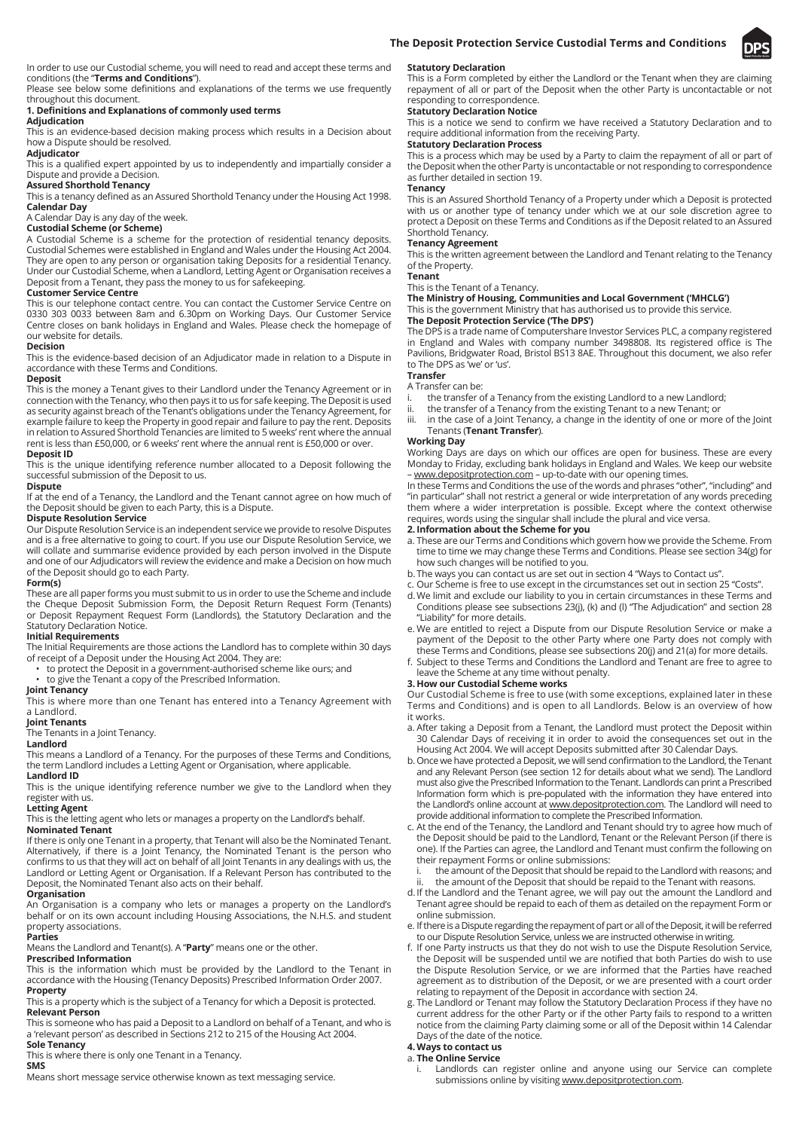

In order to use our Custodial scheme, you will need to read and accept these terms and conditions (the "**Terms and Conditions**").

Please see below some definitions and explanations of the terms we use frequently throughout this document.

### 1. Definitions and Explanations of commonly used terms

### **Adjudication**

This is an evidence-based decision making process which results in a Decision about how a Dispute should be resolved.

### **Adjudicator**

This is a qualified expert appointed by us to independently and impartially consider a Dispute and provide a Decision.

### **Assured Shorthold Tenancy**

This is a tenancy defined as an Assured Shorthold Tenancy under the Housing Act 1998. **Calendar Day** 

### A Calendar Day is any day of the week.

#### **Custodial Scheme (or Scheme)**

A Custodial Scheme is a scheme for the protection of residential tenancy deposits. Custodial Schemes were established in England and Wales under the Housing Act 2004. They are open to any person or organisation taking Deposits for a residential Tenancy. Under our Custodial Scheme, when a Landlord, Letting Agent or Organisation receives a Deposit from a Tenant, they pass the money to us for safekeeping.

#### **Customer Service Centre**

This is our telephone contact centre. You can contact the Customer Service Centre on 0330 303 0033 between 8am and 6.30pm on Working Days. Our Customer Service Centre closes on bank holidays in England and Wales. Please check the homepage of our website for details.

#### **Decision**

This is the evidence-based decision of an Adjudicator made in relation to a Dispute in accordance with these Terms and Conditions.

#### **Deposit**

This is the money a Tenant gives to their Landlord under the Tenancy Agreement or in connection with the Tenancy, who then pays it to us for safe keeping. The Deposit is used as security against breach of the Tenant's obligations under the Tenancy Agreement, for example failure to keep the Property in good repair and failure to pay the rent. Deposits in relation to Assured Shorthold Tenancies are limited to 5 weeks' rent where the annual rent is less than £50,000, or 6 weeks' rent where the annual rent is £50,000 or over.

#### **Deposit ID**

This is the unique identifying reference number allocated to a Deposit following the successful submission of the Deposit to us.

#### **Dispute**

If at the end of a Tenancy, the Landlord and the Tenant cannot agree on how much of the Deposit should be given to each Party, this is a Dispute.

#### **Dispute Resolution Service**

Our Dispute Resolution Service is an independent service we provide to resolve Disputes and is a free alternative to going to court. If you use our Dispute Resolution Service, we will collate and summarise evidence provided by each person involved in the Dispute and one of our Adjudicators will review the evidence and make a Decision on how much of the Deposit should go to each Party.

#### **Form(s)**

These are all paper forms you must submit to us in order to use the Scheme and include the Cheque Deposit Submission Form, the Deposit Return Request Form (Tenants) or Deposit Repayment Request Form (Landlords), the Statutory Declaration and the Statutory Declaration Notice.

### **Initial Requirements**

The Initial Requirements are those actions the Landlord has to complete within 30 days of receipt of a Deposit under the Housing Act 2004. They are:

• to protect the Deposit in a government-authorised scheme like ours; and

# • to give the Tenant a copy of the Prescribed Information.

**Joint Tenancy**

This is where more than one Tenant has entered into a Tenancy Agreement with a Landlord.

#### **Joint Tenants**

The Tenants in a Joint Tenancy.

#### **Landlord**

This means a Landlord of a Tenancy. For the purposes of these Terms and Conditions, the term Landlord includes a Letting Agent or Organisation, where applicable. **Landlord ID**

This is the unique identifying reference number we give to the Landlord when they register with us.

### **Letting Agent**

This is the letting agent who lets or manages a property on the Landlord's behalf. **Nominated Tenant**

If there is only one Tenant in a property, that Tenant will also be the Nominated Tenant. Alternatively, if there is a Joint Tenancy, the Nominated Tenant is the person who confirms to us that they will act on behalf of all Joint Tenants in any dealings with us, the Landlord or Letting Agent or Organisation. If a Relevant Person has contributed to the Deposit, the Nominated Tenant also acts on their behalf.

### **Organisation**

An Organisation is a company who lets or manages a property on the Landlord's behalf or on its own account including Housing Associations, the N.H.S. and student property associations.

### **Parties**

Means the Landlord and Tenant(s). A "**Party**" means one or the other. **Prescribed Information**

This is the information which must be provided by the Landlord to the Tenant in accordance with the Housing (Tenancy Deposits) Prescribed Information Order 2007. **Property** 

This is a property which is the subject of a Tenancy for which a Deposit is protected. **Relevant Person** 

This is someone who has paid a Deposit to a Landlord on behalf of a Tenant, and who is a 'relevant person' as described in Sections 212 to 215 of the Housing Act 2004.

**Sole Tenancy**

This is where there is only one Tenant in a Tenancy. **SMS**

Means short message service otherwise known as text messaging service.

#### **Statutory Declaration**

This is a Form completed by either the Landlord or the Tenant when they are claiming repayment of all or part of the Deposit when the other Party is uncontactable or not responding to correspondence.

#### **Statutory Declaration Notice**

This is a notice we send to confirm we have received a Statutory Declaration and to require additional information from the receiving Party.

### **Statutory Declaration Process**

This is a process which may be used by a Party to claim the repayment of all or part of the Deposit when the other Party is uncontactable or not responding to correspondence as further detailed in section 19.

#### **Tenancy**

This is an Assured Shorthold Tenancy of a Property under which a Deposit is protected with us or another type of tenancy under which we at our sole discretion agree to protect a Deposit on these Terms and Conditions as if the Deposit related to an Assured Shorthold Tenancy.

#### **Tenancy Agreement**

This is the written agreement between the Landlord and Tenant relating to the Tenancy of the Property.

#### **Tenant**

This is the Tenant of a Tenancy.

#### **The Ministry of Housing, Communities and Local Government ('MHCLG')** This is the government Ministry that has authorised us to provide this service.

**The Deposit Protection Service ('The DPS')**

The DPS is a trade name of Computershare Investor Services PLC, a company registered in England and Wales with company number 3498808. Its registered office is The Pavilions, Bridgwater Road, Bristol BS13 8AE. Throughout this document, we also refer to The DPS as 'we' or 'us'.

## **Transfer**

- A Transfer can be:
- the transfer of a Tenancy from the existing Landlord to a new Landlord;
- ii. the transfer of a Tenancy from the existing Tenant to a new Tenant; or
- iii. in the case of a Joint Tenancy, a change in the identity of one or more of the Joint Tenants (**Tenant Transfer**).

### **Working Day**

Working Days are days on which our offices are open for business. These are every Monday to Friday, excluding bank holidays in England and Wales. We keep our website – www.depositprotection.com – up-to-date with our opening times.

In these Terms and Conditions the use of the words and phrases "other", "including" and "in particular" shall not restrict a general or wide interpretation of any words preceding them where a wider interpretation is possible. Except where the context otherwise requires, words using the singular shall include the plural and vice versa.

#### **2. Information about the Scheme for you**

- a. These are our Terms and Conditions which govern how we provide the Scheme. From time to time we may change these Terms and Conditions. Please see section 34(g) for how such changes will be notified to you.
- b. The ways you can contact us are set out in section 4 "Ways to Contact us".
- c. Our Scheme is free to use except in the circumstances set out in section 25 "Costs". d. We limit and exclude our liability to you in certain circumstances in these Terms and Conditions please see subsections 23(j), (k) and (l) "The Adjudication" and section 28
- "Liability" for more details. e. We are entitled to reject a Dispute from our Dispute Resolution Service or make a payment of the Deposit to the other Party where one Party does not comply with these Terms and Conditions, please see subsections 20(j) and 21(a) for more details.
- f. Subject to these Terms and Conditions the Landlord and Tenant are free to agree to leave the Scheme at any time without penalty.

#### **3. How our Custodial Scheme works**

Our Custodial Scheme is free to use (with some exceptions, explained later in these Terms and Conditions) and is open to all Landlords. Below is an overview of how it works.

- a. After taking a Deposit from a Tenant, the Landlord must protect the Deposit within 30 Calendar Days of receiving it in order to avoid the consequences set out in the Housing Act 2004. We will accept Deposits submitted after 30 Calendar Days.
- b. Once we have protected a Deposit, we will send confirmation to the Landlord, the Tenant and any Relevant Person (see section 12 for details about what we send). The Landlord must also give the Prescribed Information to the Tenant. Landlords can print a Prescribed Information form which is pre-populated with the information they have entered into the Landlord's online account at www.depositprotection.com. The Landlord will need to provide additional information to complete the Prescribed Information.
- c. At the end of the Tenancy, the Landlord and Tenant should try to agree how much of the Deposit should be paid to the Landlord, Tenant or the Relevant Person (if there is one). If the Parties can agree, the Landlord and Tenant must confirm the following on their repayment Forms or online submissions:

 i. the amount of the Deposit that should be repaid to the Landlord with reasons; and ii. the amount of the Deposit that should be repaid to the Tenant with reasons.

- d. If the Landlord and the Tenant agree, we will pay out the amount the Landlord and Tenant agree should be repaid to each of them as detailed on the repayment Form or online submission.
- e. If there is a Dispute regarding the repayment of part or all of the Deposit, it will be referred to our Dispute Resolution Service, unless we are instructed otherwise in writing.
- f. If one Party instructs us that they do not wish to use the Dispute Resolution Service, the Deposit will be suspended until we are notified that both Parties do wish to use the Dispute Resolution Service, or we are informed that the Parties have reached agreement as to distribution of the Deposit, or we are presented with a court order relating to repayment of the Deposit in accordance with section 24.
- g. The Landlord or Tenant may follow the Statutory Declaration Process if they have no current address for the other Party or if the other Party fails to respond to a written notice from the claiming Party claiming some or all of the Deposit within 14 Calendar Days of the date of the notice.

### **4. Ways to contact us**

### a. **The Online Service**

Landlords can register online and anyone using our Service can complete submissions online by visiting www.depositprotection.com.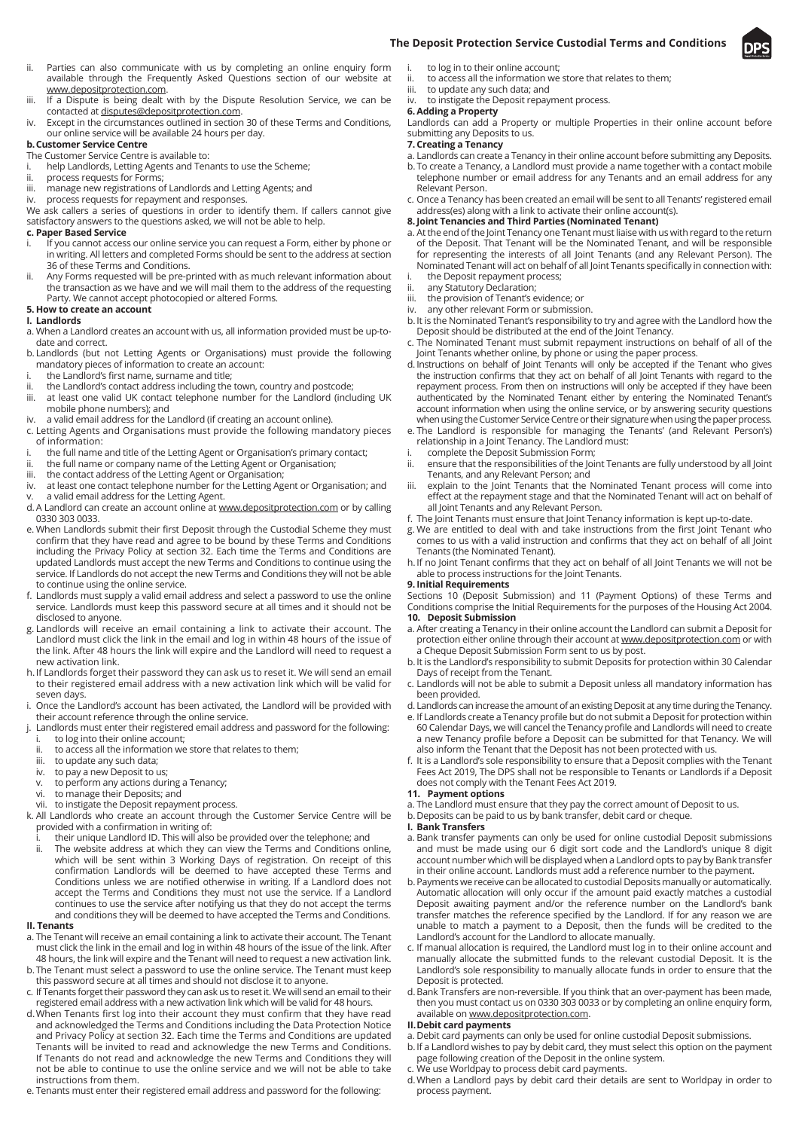- ii. Parties can also communicate with us by completing an online enquiry form available through the Frequently Asked Questions section of our website at www.depositprotection.com.
- iii. If a Dispute is being dealt with by the Dispute Resolution Service, we can be contacted at disputes@depositprotection.com.
- iv. Except in the circumstances outlined in section 30 of these Terms and Conditions, our online service will be available 24 hours per day.

## **b. Customer Service Centre**

- The Customer Service Centre is available to:
- i. help Landlords, Letting Agents and Tenants to use the Scheme;
- ii. process requests for Forms;<br>iii manage new registrations of
- imanage new registrations of Landlords and Letting Agents; and
- iv. process requests for repayment and responses.

We ask callers a series of questions in order to identify them. If callers cannot give satisfactory answers to the questions asked, we will not be able to help.

- **c. Paper Based Service**
- i. If you cannot access our online service you can request a Form, either by phone or in writing. All letters and completed Forms should be sent to the address at section 36 of these Terms and Conditions.
- ii. Any Forms requested will be pre-printed with as much relevant information about the transaction as we have and we will mail them to the address of the requesting Party. We cannot accept photocopied or altered Forms.

### **5. How to create an account**

### **I. Landlords**

a. When a Landlord creates an account with us, all information provided must be up-todate and correct.

- b. Landlords (but not Letting Agents or Organisations) must provide the following mandatory pieces of information to create an account:
- i. the Landlord's first name, surname and title;
- ii. the Landlord's contact address including the town, country and postcode;
- iii. at least one valid UK contact telephone number for the Landlord (including UK mobile phone numbers); and
- iv. a valid email address for the Landlord (if creating an account online). c. Letting Agents and Organisations must provide the following mandatory pieces of information:
- 
- i. the full name and title of the Letting Agent or Organisation's primary contact;<br>ii. the full name or company name of the Letting Agent or Organisation:
- ii. the full name or company name of the Letting Agent or Organisation;<br>iii. the contact address of the Letting Agent or Organisation;
- iii. the contact address of the Letting Agent or Organisation;<br>iv. at least one contact telephone number for the Letting Ag at least one contact telephone number for the Letting Agent or Organisation; and a valid email address for the Letting Agent.
- d. A Landlord can create an account online at www.depositprotection.com or by calling
- 0330 303 0033. e. When Landlords submit their first Deposit through the Custodial Scheme they must confirm that they have read and agree to be bound by these Terms and Conditions
- including the Privacy Policy at section 32. Each time the Terms and Conditions are updated Landlords must accept the new Terms and Conditions to continue using the service. If Landlords do not accept the new Terms and Conditions they will not be able to continue using the online service.
- f. Landlords must supply a valid email address and select a password to use the online service. Landlords must keep this password secure at all times and it should not be disclosed to anyone.
- g. Landlords will receive an email containing a link to activate their account. The Landlord must click the link in the email and log in within 48 hours of the issue of the link. After 48 hours the link will expire and the Landlord will need to request a new activation link.
- h. If Landlords forget their password they can ask us to reset it. We will send an email to their registered email address with a new activation link which will be valid for seven days.
- i. Once the Landlord's account has been activated, the Landlord will be provided with their account reference through the online service.
- j. Landlords must enter their registered email address and password for the following: to log into their online account;
- ii. to access all the information we store that relates to them;
- iii. to update any such data;<br>iv. to pay a new Deposit to u
- iv. to pay a new Deposit to us;<br>v. to perform any actions duri to perform any actions during a Tenancy;
- vi. to manage their Deposits; and
- vii. to instigate the Deposit repayment process.
- k. All Landlords who create an account through the Customer Service Centre will be provided with a confirmation in writing of:
- 
- i. their unique Landlord ID. This will also be provided over the telephone; and<br>ii The website address at which they can view the Terms and Conditions of The website address at which they can view the Terms and Conditions online, which will be sent within 3 Working Days of registration. On receipt of this confirmation Landlords will be deemed to have accepted these Terms and Conditions unless we are notified otherwise in writing. If a Landlord does not accept the Terms and Conditions they must not use the service. If a Landlord continues to use the service after notifying us that they do not accept the terms and conditions they will be deemed to have accepted the Terms and Conditions.

### **II. Tenants**

- a. The Tenant will receive an email containing a link to activate their account. The Tenant must click the link in the email and log in within 48 hours of the issue of the link. After 48 hours, the link will expire and the Tenant will need to request a new activation link.
- b. The Tenant must select a password to use the online service. The Tenant must keep this password secure at all times and should not disclose it to anyone.
- c. If Tenants forget their password they can ask us to reset it. We will send an email to their registered email address with a new activation link which will be valid for 48 hours.
- d. When Tenants first log into their account they must confirm that they have read and acknowledged the Terms and Conditions including the Data Protection Notice and Privacy Policy at section 32. Each time the Terms and Conditions are updated Tenants will be invited to read and acknowledge the new Terms and Conditions. If Tenants do not read and acknowledge the new Terms and Conditions they will not be able to continue to use the online service and we will not be able to take instructions from them.
- e. Tenants must enter their registered email address and password for the following:

# **The Deposit Protection Service Custodial Terms and Conditions**

- 
- i. to log in to their online account;<br>ii. to access all the information we ii. to access all the information we store that relates to them;<br>iii. to undate any such data: and
- to update any such data; and iv. to instigate the Deposit repayment process.

# **6. Adding a Property**

Landlords can add a Property or multiple Properties in their online account before submitting any Deposits to us.

#### **7. Creating a Tenancy**

- a. Landlords can create a Tenancy in their online account before submitting any Deposits.
- b. To create a Tenancy, a Landlord must provide a name together with a contact mobile telephone number or email address for any Tenants and an email address for any Relevant Person.
- c. Once a Tenancy has been created an email will be sent to all Tenants' registered email address(es) along with a link to activate their online account(s).
- **8. Joint Tenancies and Third Parties (Nominated Tenant)**
- a. At the end of the Joint Tenancy one Tenant must liaise with us with regard to the return of the Deposit. That Tenant will be the Nominated Tenant, and will be responsible for representing the interests of all Joint Tenants (and any Relevant Person). The Nominated Tenant will act on behalf of all Joint Tenants specifically in connection with:
- i. the Deposit repayment process;<br>ii. any Statutory Declaration:
- ii. any Statutory Declaration;<br>iii. the provision of Tenant's e
- the provision of Tenant's evidence; or
- iv. any other relevant Form or submission.
- b. It is the Nominated Tenant's responsibility to try and agree with the Landlord how the Deposit should be distributed at the end of the Joint Tenancy.
- c. The Nominated Tenant must submit repayment instructions on behalf of all of the Joint Tenants whether online, by phone or using the paper process.
- d. Instructions on behalf of Joint Tenants will only be accepted if the Tenant who gives the instruction confirms that they act on behalf of all Joint Tenants with regard to the repayment process. From then on instructions will only be accepted if they have been authenticated by the Nominated Tenant either by entering the Nominated Tenant's account information when using the online service, or by answering security questions when using the Customer Service Centre or their signature when using the paper process.
- e. The Landlord is responsible for managing the Tenants' (and Relevant Person's) relationship in a Joint Tenancy. The Landlord must:
- i. complete the Deposit Submission Form;<br>ii. ensure that the responsibilities of the loi
- ensure that the responsibilities of the Joint Tenants are fully understood by all Joint Tenants, and any Relevant Person; and
- iii. explain to the Joint Tenants that the Nominated Tenant process will come into effect at the repayment stage and that the Nominated Tenant will act on behalf of all Joint Tenants and any Relevant Person.
- f. The Joint Tenants must ensure that Joint Tenancy information is kept up-to-date.
- g. We are entitled to deal with and take instructions from the first Joint Tenant who comes to us with a valid instruction and confirms that they act on behalf of all Joint Tenants (the Nominated Tenant).
- h. If no Joint Tenant confirms that they act on behalf of all Joint Tenants we will not be able to process instructions for the Joint Tenants.

#### **9. Initial Requirements**

Sections 10 (Deposit Submission) and 11 (Payment Options) of these Terms and Conditions comprise the Initial Requirements for the purposes of the Housing Act 2004. **10. Deposit Submission**

- a. After creating a Tenancy in their online account the Landlord can submit a Deposit for protection either online through their account at www.depositprotection.com or with a Cheque Deposit Submission Form sent to us by post.
- b. It is the Landlord's responsibility to submit Deposits for protection within 30 Calendar Days of receipt from the Tenant.
- c. Landlords will not be able to submit a Deposit unless all mandatory information has been provided.
- d. Landlords can increase the amount of an existing Deposit at any time during the Tenancy.
- e. If Landlords create a Tenancy profile but do not submit a Deposit for protection within 60 Calendar Days, we will cancel the Tenancy profi le and Landlords will need to create a new Tenancy profile before a Deposit can be submitted for that Tenancy. We will also inform the Tenant that the Deposit has not been protected with us.
- f. It is a Landlord's sole responsibility to ensure that a Deposit complies with the Tenant Fees Act 2019, The DPS shall not be responsible to Tenants or Landlords if a Deposit does not comply with the Tenant Fees Act 2019.
- **11. Payment options**
- a. The Landlord must ensure that they pay the correct amount of Deposit to us.
- b. Deposits can be paid to us by bank transfer, debit card or cheque.
- **I. Bank Transfers**
- a. Bank transfer payments can only be used for online custodial Deposit submissions and must be made using our 6 digit sort code and the Landlord's unique 8 digit account number which will be displayed when a Landlord opts to pay by Bank transfer in their online account. Landlords must add a reference number to the payment.
- b. Payments we receive can be allocated to custodial Deposits manually or automatically. Automatic allocation will only occur if the amount paid exactly matches a custodial Deposit awaiting payment and/or the reference number on the Landlord's bank transfer matches the reference specified by the Landlord. If for any reason we are unable to match a payment to a Deposit, then the funds will be credited to the Landlord's account for the Landlord to allocate manually.
- c. If manual allocation is required, the Landlord must log in to their online account and manually allocate the submitted funds to the relevant custodial Deposit. It is the Landlord's sole responsibility to manually allocate funds in order to ensure that the Deposit is protected.
- d. Bank Transfers are non-reversible. If you think that an over-payment has been made, then you must contact us on 0330 303 0033 or by completing an online enquiry form, available on www.depositprotection.com.

#### **II. Debit card payments**

- a. Debit card payments can only be used for online custodial Deposit submissions.
- b. If a Landlord wishes to pay by debit card, they must select this option on the payment page following creation of the Deposit in the online system.
- We use Worldpay to process debit card payments.
- d. When a Landlord pays by debit card their details are sent to Worldpay in order to process payment.

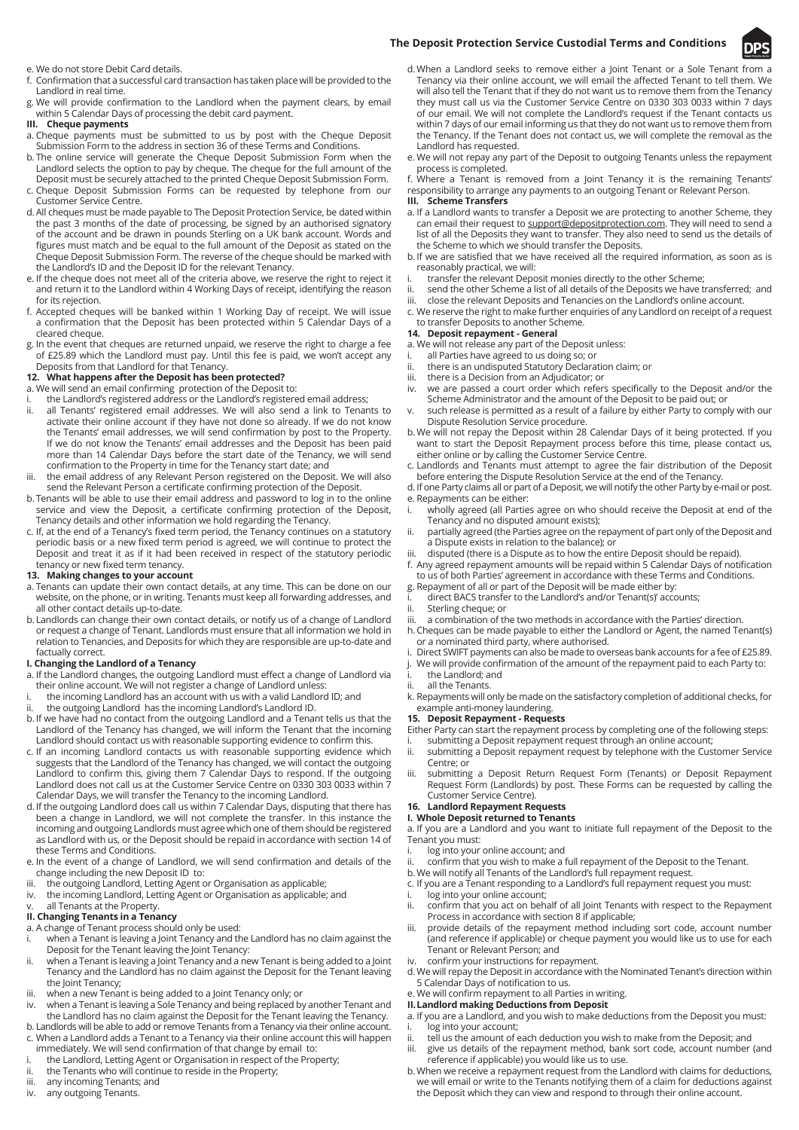### **The Deposit Protection Service Custodial Terms and Conditions**



e. We do not store Debit Card details.

- f. Confirmation that a successful card transaction has taken place will be provided to the Landlord in real time.
- g. We will provide confirmation to the Landlord when the payment clears, by email within 5 Calendar Days of processing the debit card payment.

### **III. Cheque payments**

- a. Cheque payments must be submitted to us by post with the Cheque Deposit Submission Form to the address in section 36 of these Terms and Conditions.
- b. The online service will generate the Cheque Deposit Submission Form when the Landlord selects the option to pay by cheque. The cheque for the full amount of the Deposit must be securely attached to the printed Cheque Deposit Submission Form.
- c. Cheque Deposit Submission Forms can be requested by telephone from our Customer Service Centre.
- d. All cheques must be made payable to The Deposit Protection Service, be dated within the past 3 months of the date of processing, be signed by an authorised signatory of the account and be drawn in pounds Sterling on a UK bank account. Words and figures must match and be equal to the full amount of the Deposit as stated on the Cheque Deposit Submission Form. The reverse of the cheque should be marked with the Landlord's ID and the Deposit ID for the relevant Tenancy.
- e. If the cheque does not meet all of the criteria above, we reserve the right to reject it and return it to the Landlord within 4 Working Days of receipt, identifying the reason for its rejection.
- f. Accepted cheques will be banked within 1 Working Day of receipt. We will issue a confirmation that the Deposit has been protected within 5 Calendar Days of a cleared cheque.
- g. In the event that cheques are returned unpaid, we reserve the right to charge a fee of £25.89 which the Landlord must pay. Until this fee is paid, we won't accept any Deposits from that Landlord for that Tenancy.

### **12. What happens after the Deposit has been protected?**

- a. We will send an email confirming protection of the Deposit to:
- i. the Landlord's registered address or the Landlord's registered email address; all Tenants' registered email addresses. We will also send a link to Tenants to activate their online account if they have not done so already. If we do not know the Tenants' email addresses, we will send confirmation by post to the Property. If we do not know the Tenants' email addresses and the Deposit has been paid more than 14 Calendar Days before the start date of the Tenancy, we will send confirmation to the Property in time for the Tenancy start date; and
- iii. the email address of any Relevant Person registered on the Deposit. We will also send the Relevant Person a certificate confirming protection of the Deposit.
- b. Tenants will be able to use their email address and password to log in to the online service and view the Deposit, a certificate confirming protection of the Deposit, Tenancy details and other information we hold regarding the Tenancy.
- c. If, at the end of a Tenancy's fixed term period, the Tenancy continues on a statutory periodic basis or a new fixed term period is agreed, we will continue to protect the Deposit and treat it as if it had been received in respect of the statutory periodic tenancy or new fixed term tenancy.

### **13. Making changes to your account**

- a. Tenants can update their own contact details, at any time. This can be done on our website, on the phone, or in writing. Tenants must keep all forwarding addresses, and all other contact details up-to-date.
- b. Landlords can change their own contact details, or notify us of a change of Landlord or request a change of Tenant. Landlords must ensure that all information we hold in relation to Tenancies, and Deposits for which they are responsible are up-to-date and factually correct.

### **I. Changing the Landlord of a Tenancy**

- a. If the Landlord changes, the outgoing Landlord must effect a change of Landlord via their online account. We will not register a change of Landlord unless:
- the incoming Landlord has an account with us with a valid Landlord ID; and
- the outgoing Landlord has the incoming Landlord's Landlord ID.
- b. If we have had no contact from the outgoing Landlord and a Tenant tells us that the Landlord of the Tenancy has changed, we will inform the Tenant that the incoming Landlord should contact us with reasonable supporting evidence to confirm this.
- c. If an incoming Landlord contacts us with reasonable supporting evidence which suggests that the Landlord of the Tenancy has changed, we will contact the outgoing Landlord to confirm this, giving them 7 Calendar Days to respond. If the outgoing Landlord does not call us at the Customer Service Centre on 0330 303 0033 within 7 Calendar Days, we will transfer the Tenancy to the incoming Landlord.
- d. If the outgoing Landlord does call us within 7 Calendar Days, disputing that there has been a change in Landlord, we will not complete the transfer. In this instance the incoming and outgoing Landlords must agree which one of them should be registered as Landlord with us, or the Deposit should be repaid in accordance with section 14 of these Terms and Conditions.
- e. In the event of a change of Landlord, we will send confirmation and details of the change including the new Deposit ID to:
- iii. the outgoing Landlord, Letting Agent or Organisation as applicable;
- iv. the incoming Landlord, Letting Agent or Organisation as applicable; and

# all Tenants at the Property.

# **II. Changing Tenants in a Tenancy**

- a. A change of Tenant process should only be used: i. when a Tenant is leaving a Joint Tenancy and the Landlord has no claim against the Deposit for the Tenant leaving the Joint Tenancy:
- ii. when a Tenant is leaving a Joint Tenancy and a new Tenant is being added to a Joint Tenancy and the Landlord has no claim against the Deposit for the Tenant leaving the Joint Tenancy;
- iii. when a new Tenant is being added to a Joint Tenancy only; or<br>iv. when a Tenant is leaving a Sole Tenancy and being replaced by
- when a Tenant is leaving a Sole Tenancy and being replaced by another Tenant and the Landlord has no claim against the Deposit for the Tenant leaving the Tenancy. b. Landlords will be able to add or remove Tenants from a Tenancy via their online account.
- c. When a Landlord adds a Tenant to a Tenancy via their online account this will happen immediately. We will send confirmation of that change by email to:
- the Landlord, Letting Agent or Organisation in respect of the Property;
- ii. the Tenants who will continue to reside in the Property; iii. any incoming Tenants; and
- iv. any outgoing Tenants.
- 
- d. When a Landlord seeks to remove either a Joint Tenant or a Sole Tenant from a Tenancy via their online account, we will email the aff ected Tenant to tell them. We will also tell the Tenant that if they do not want us to remove them from the Tenancy they must call us via the Customer Service Centre on 0330 303 0033 within 7 days of our email. We will not complete the Landlord's request if the Tenant contacts us within 7 days of our email informing us that they do not want us to remove them from the Tenancy. If the Tenant does not contact us, we will complete the removal as the Landlord has requested.
- e. We will not repay any part of the Deposit to outgoing Tenants unless the repayment process is completed.
- f. Where a Tenant is removed from a Joint Tenancy it is the remaining Tenants' responsibility to arrange any payments to an outgoing Tenant or Relevant Person.

### **III. Scheme Transfers**

- a. If a Landlord wants to transfer a Deposit we are protecting to another Scheme, they can email their request to support@depositprotection.com. They will need to send a list of all the Deposits they want to transfer. They also need to send us the details of the Scheme to which we should transfer the Deposits.
- b. If we are satisfied that we have received all the required information, as soon as is reasonably practical, we will:
- i. transfer the relevant Deposit monies directly to the other Scheme;<br>ii. send the other Scheme a list of all details of the Deposits we have t
- ii. send the other Scheme a list of all details of the Deposits we have transferred; and<br>iii. close the relevant Deposits and Tenancies on the Landlord's online account.
- close the relevant Deposits and Tenancies on the Landlord's online account. c. We reserve the right to make further enquiries of any Landlord on receipt of a request

#### to transfer Deposits to another Scheme. **14. Deposit repayment - General**

- a. We will not release any part of the Deposit unless:
- i. all Parties have agreed to us doing so; or
- ii. there is an undisputed Statutory Declaration claim; or
- iii. there is a Decision from an Adjudicator; or
- iv. we are passed a court order which refers specifically to the Deposit and/or the Scheme Administrator and the amount of the Deposit to be paid out; or
- v. such release is permitted as a result of a failure by either Party to comply with our Dispute Resolution Service procedure.
- b. We will not repay the Deposit within 28 Calendar Days of it being protected. If you want to start the Deposit Repayment process before this time, please contact us, either online or by calling the Customer Service Centre.
- c. Landlords and Tenants must attempt to agree the fair distribution of the Deposit before entering the Dispute Resolution Service at the end of the Tenancy.
- d. If one Party claims all or part of a Deposit, we will notify the other Party by e-mail or post. e. Repayments can be either:
- wholly agreed (all Parties agree on who should receive the Deposit at end of the Tenancy and no disputed amount exists);
- ii. partially agreed (the Parties agree on the repayment of part only of the Deposit and a Dispute exists in relation to the balance); or
- disputed (there is a Dispute as to how the entire Deposit should be repaid).
- f. Any agreed repayment amounts will be repaid within 5 Calendar Days of notification to us of both Parties' agreement in accordance with these Terms and Conditions.
- g. Repayment of all or part of the Deposit will be made either by: i. direct BACS transfer to the Landlord's and/or Tenant(s)' accounts;
- Sterling cheque; or
- iii. a combination of the two methods in accordance with the Parties' direction.
- h. Cheques can be made payable to either the Landlord or Agent, the named Tenant(s) or a nominated third party, where authorised.
- i. Direct SWIFT payments can also be made to overseas bank accounts for a fee of £25.89. i. The continuity provide confirmation of the amount of the repayment paid to each Party to:
- i. the Landlord; and  $\overline{a}$  ii. all the Tenants.
- all the Tenants.

k. Repayments will only be made on the satisfactory completion of additional checks, for example anti-money laundering.

#### **15. Deposit Repayment - Requests**

Either Party can start the repayment process by completing one of the following steps: submitting a Deposit repayment request through an online account;

- ii. submitting a Deposit repayment request by telephone with the Customer Service Centre; or
- iii. submitting a Deposit Return Request Form (Tenants) or Deposit Repayment Request Form (Landlords) by post. These Forms can be requested by calling the Customer Service Centre).

# **16. Landlord Repayment Requests**

# **I. Whole Deposit returned to Tenants**

a. If you are a Landlord and you want to initiate full repayment of the Deposit to the Tenant you must:

- log into your online account; and
- ii. confirm that you wish to make a full repayment of the Deposit to the Tenant.

b. We will notify all Tenants of the Landlord's full repayment request.

- c. If you are a Tenant responding to a Landlord's full repayment request you must:
- i. log into your online account;
- ii. confirm that you act on behalf of all Joint Tenants with respect to the Repayment Process in accordance with section 8 if applicable;
- iii. provide details of the repayment method including sort code, account number (and reference if applicable) or cheque payment you would like us to use for each Tenant or Relevant Person; and
- iv. confirm your instructions for repayment.

d. We will repay the Deposit in accordance with the Nominated Tenant's direction within 5 Calendar Days of notification to us.

# e. We will confirm repayment to all Parties in writing.

- **II. Landlord making Deductions from Deposit**
- a. If you are a Landlord, and you wish to make deductions from the Deposit you must: log into your account;
- ii. tell us the amount of each deduction you wish to make from the Deposit; and
- iii. give us details of the repayment method, bank sort code, account number (and reference if applicable) you would like us to use.
- b. When we receive a repayment request from the Landlord with claims for deductions, we will email or write to the Tenants notifying them of a claim for deductions against the Deposit which they can view and respond to through their online account.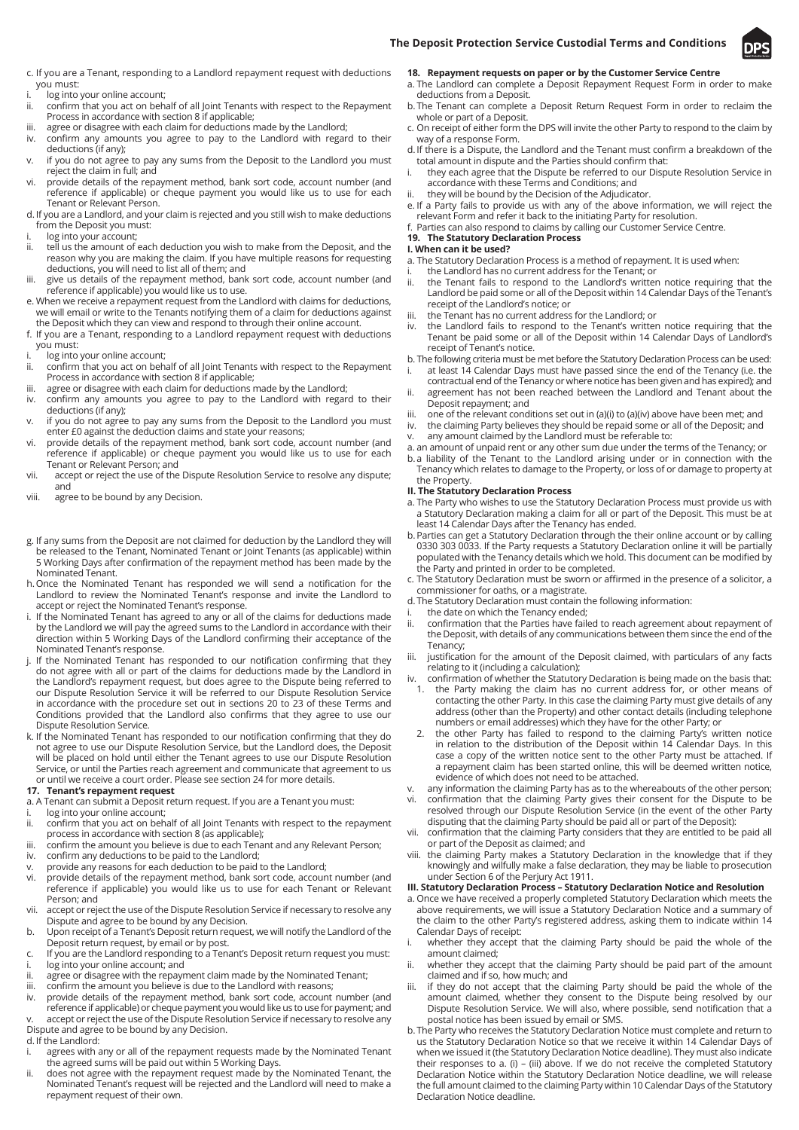

- c. If you are a Tenant, responding to a Landlord repayment request with deductions you must:
- log into your online account;
- ii. confirm that you act on behalf of all Joint Tenants with respect to the Repayment Process in accordance with section 8 if applicable;
- iii. agree or disagree with each claim for deductions made by the Landlord; iv. confirm any amounts you agree to pay to the Landlord with regar
- confirm any amounts you agree to pay to the Landlord with regard to their deductions (if any);
- v. if you do not agree to pay any sums from the Deposit to the Landlord you must reject the claim in full; and vi. provide details of the repayment method, bank sort code, account number (and
- reference if applicable) or cheque payment you would like us to use for each Tenant or Relevant Person.
- d. If you are a Landlord, and your claim is rejected and you still wish to make deductions from the Deposit you must:
- i. log into your account;<br>ii. tell us the amount of
- tell us the amount of each deduction you wish to make from the Deposit, and the reason why you are making the claim. If you have multiple reasons for requesting deductions, you will need to list all of them; and
- iii. give us details of the repayment method, bank sort code, account number (and reference if applicable) you would like us to use.
- e. When we receive a repayment request from the Landlord with claims for deductions, we will email or write to the Tenants notifying them of a claim for deductions against the Deposit which they can view and respond to through their online account.
- f. If you are a Tenant, responding to a Landlord repayment request with deductions you must:
- i. log into your online account;
- ii. confirm that you act on behalf of all Joint Tenants with respect to the Repayment Process in accordance with section 8 if applicable;
- iii. agree or disagree with each claim for deductions made by the Landlord;
- iv. confirm any amounts you agree to pay to the Landlord with regard to their deductions (if any);
- v. if you do not agree to pay any sums from the Deposit to the Landlord you must enter £0 against the deduction claims and state your reasons;
- vi. provide details of the repayment method, bank sort code, account number (and reference if applicable) or cheque payment you would like us to use for each Tenant or Relevant Person; and
- vii. accept or reject the use of the Dispute Resolution Service to resolve any dispute; and
- viii. agree to be bound by any Decision.
- g. If any sums from the Deposit are not claimed for deduction by the Landlord they will be released to the Tenant, Nominated Tenant or Joint Tenants (as applicable) within 5 Working Days after confirmation of the repayment method has been made by the Nominated Tenant.
- h. Once the Nominated Tenant has responded we will send a notification for the Landlord to review the Nominated Tenant's response and invite the Landlord to accept or reject the Nominated Tenant's response.
- i. If the Nominated Tenant has agreed to any or all of the claims for deductions made by the Landlord we will pay the agreed sums to the Landlord in accordance with their direction within 5 Working Days of the Landlord confirming their acceptance of the Nominated Tenant's response.
- j. If the Nominated Tenant has responded to our notification confirming that they do not agree with all or part of the claims for deductions made by the Landlord in the Landlord's repayment request, but does agree to the Dispute being referred to our Dispute Resolution Service it will be referred to our Dispute Resolution Service in accordance with the procedure set out in sections 20 to 23 of these Terms and Conditions provided that the Landlord also confirms that they agree to use our Dispute Resolution Service.
- k. If the Nominated Tenant has responded to our notification confirming that they do not agree to use our Dispute Resolution Service, but the Landlord does, the Deposit will be placed on hold until either the Tenant agrees to use our Dispute Resolution Service, or until the Parties reach agreement and communicate that agreement to us or until we receive a court order. Please see section 24 for more details.

### **17. Tenant's repayment request**

- a. A Tenant can submit a Deposit return request. If you are a Tenant you must:
- log into your online account;
- ii. confirm that you act on behalf of all Joint Tenants with respect to the repayment process in accordance with section 8 (as applicable);
- iii. confirm the amount you believe is due to each Tenant and any Relevant Person;
- iv. confirm any deductions to be paid to the Landlord;
- v. provide any reasons for each deduction to be paid to the Landlord;
- vi. provide details of the repayment method, bank sort code, account number (and reference if applicable) you would like us to use for each Tenant or Relevant Person; and
- vii. accept or reject the use of the Dispute Resolution Service if necessary to resolve any Dispute and agree to be bound by any Decision. b. Upon receipt of a Tenant's Deposit return request, we will notify the Landlord of the
- Deposit return request, by email or by post.
- c. If you are the Landlord responding to a Tenant's Deposit return request you must: i. log into your online account; and<br>ii. agree or disagree with the repayr
- agree or disagree with the repayment claim made by the Nominated Tenant;
- iii. confirm the amount you believe is due to the Landlord with reasons;
- iv. provide details of the repayment method, bank sort code, account number (and reference if applicable) or cheque payment you would like us to use for payment; and v. accept or reject the use of the Dispute Resolution Service if necessary to resolve any Dispute and agree to be bound by any Decision.

## d. If the Landlord:

- i. agrees with any or all of the repayment requests made by the Nominated Tenant the agreed sums will be paid out within 5 Working Days.
- ii. does not agree with the repayment request made by the Nominated Tenant, the Nominated Tenant's request will be rejected and the Landlord will need to make a repayment request of their own.

# **18. Repayment requests on paper or by the Customer Service Centre**

- a. The Landlord can complete a Deposit Repayment Request Form in order to make
- deductions from a Deposit. b. The Tenant can complete a Deposit Return Request Form in order to reclaim the
- whole or part of a Deposit. c. On receipt of either form the DPS will invite the other Party to respond to the claim by way of a response Form.
- d. If there is a Dispute, the Landlord and the Tenant must confirm a breakdown of the total amount in dispute and the Parties should confirm that:
- i. they each agree that the Dispute be referred to our Dispute Resolution Service in accordance with these Terms and Conditions; and
- ii. they will be bound by the Decision of the Adjudicator.
- e. If a Party fails to provide us with any of the above information, we will reject the relevant Form and refer it back to the initiating Party for resolution.
- f. Parties can also respond to claims by calling our Customer Service Centre. **19. The Statutory Declaration Process**

# **I. When can it be used?**

a. The Statutory Declaration Process is a method of repayment. It is used when:

- the Landlord has no current address for the Tenant; or
- ii. the Tenant fails to respond to the Landlord's written notice requiring that the Landlord be paid some or all of the Deposit within 14 Calendar Days of the Tenant's receipt of the Landlord's notice; or
- iii. the Tenant has no current address for the Landlord; or
- the Landlord fails to respond to the Tenant's written notice requiring that the Tenant be paid some or all of the Deposit within 14 Calendar Days of Landlord's receipt of Tenant's notice.

b. The following criteria must be met before the Statutory Declaration Process can be used: i. at least  $14$  Calendar Days must have passed since the end of the Tenancy (i.e. the

- contractual end of the Tenancy or where notice has been given and has expired); and ii. agreement has not been reached between the Landlord and Tenant about the Deposit repayment; and
- 
- iii. one of the relevant conditions set out in (a)(i) to (a)(iv) above have been met; and iv. the claiming Party believes they should be repaid some or all of the Deposit: and the claiming Party believes they should be repaid some or all of the Deposit; and
- any amount claimed by the Landlord must be referable to:
- a. an amount of unpaid rent or any other sum due under the terms of the Tenancy; or

b. a liability of the Tenant to the Landlord arising under or in connection with the

Tenancy which relates to damage to the Property, or loss of or damage to property at the Property.

#### **II. The Statutory Declaration Process**

- a. The Party who wishes to use the Statutory Declaration Process must provide us with a Statutory Declaration making a claim for all or part of the Deposit. This must be at least 14 Calendar Days after the Tenancy has ended.
- b. Parties can get a Statutory Declaration through the their online account or by calling 0330 303 0033. If the Party requests a Statutory Declaration online it will be partially populated with the Tenancy details which we hold. This document can be modified by the Party and printed in order to be completed.
- c. The Statutory Declaration must be sworn or affirmed in the presence of a solicitor, a commissioner for oaths, or a magistrate.
- d. The Statutory Declaration must contain the following information:
- i. the date on which the Tenancy ended;<br>ii. confirmation that the Parties have fail
- confirmation that the Parties have failed to reach agreement about repayment of the Deposit, with details of any communications between them since the end of the Tenancy;
- iii. justification for the amount of the Deposit claimed, with particulars of any facts relating to it (including a calculation);
- iv. confirmation of whether the Statutory Declaration is being made on the basis that: 1. the Party making the claim has no current address for, or other means of contacting the other Party. In this case the claiming Party must give details of any address (other than the Property) and other contact details (including telephone numbers or email addresses) which they have for the other Party; or
- the other Party has failed to respond to the claiming Party's written notice in relation to the distribution of the Deposit within 14 Calendar Days. In this case a copy of the written notice sent to the other Party must be attached. If a repayment claim has been started online, this will be deemed written notice, evidence of which does not need to be attached.
- v. any information the claiming Party has as to the whereabouts of the other person;
- vi. confirmation that the claiming Party gives their consent for the Dispute to be resolved through our Dispute Resolution Service (in the event of the other Party disputing that the claiming Party should be paid all or part of the Deposit):
- vii. confirmation that the claiming Party considers that they are entitled to be paid all or part of the Deposit as claimed; and
- the claiming Party makes a Statutory Declaration in the knowledge that if they knowingly and wilfully make a false declaration, they may be liable to prosecution under Section 6 of the Perjury Act 1911.

# **III. Statutory Declaration Process – Statutory Declaration Notice and Resolution**

- a. Once we have received a properly completed Statutory Declaration which meets the above requirements, we will issue a Statutory Declaration Notice and a summary of the claim to the other Party's registered address, asking them to indicate within 14 Calendar Days of receipt:
- i. whether they accept that the claiming Party should be paid the whole of the amount claimed;
- ii. whether they accept that the claiming Party should be paid part of the amount claimed and if so, how much; and
- iii. if they do not accept that the claiming Party should be paid the whole of the amount claimed, whether they consent to the Dispute being resolved by our Dispute Resolution Service. We will also, where possible, send notification that a postal notice has been issued by email or SMS.
- b. The Party who receives the Statutory Declaration Notice must complete and return to us the Statutory Declaration Notice so that we receive it within 14 Calendar Days of when we issued it (the Statutory Declaration Notice deadline). They must also indicate their responses to a. (i) – (iii) above. If we do not receive the completed Statutory Declaration Notice within the Statutory Declaration Notice deadline, we will release the full amount claimed to the claiming Party within 10 Calendar Days of the Statutory Declaration Notice deadline.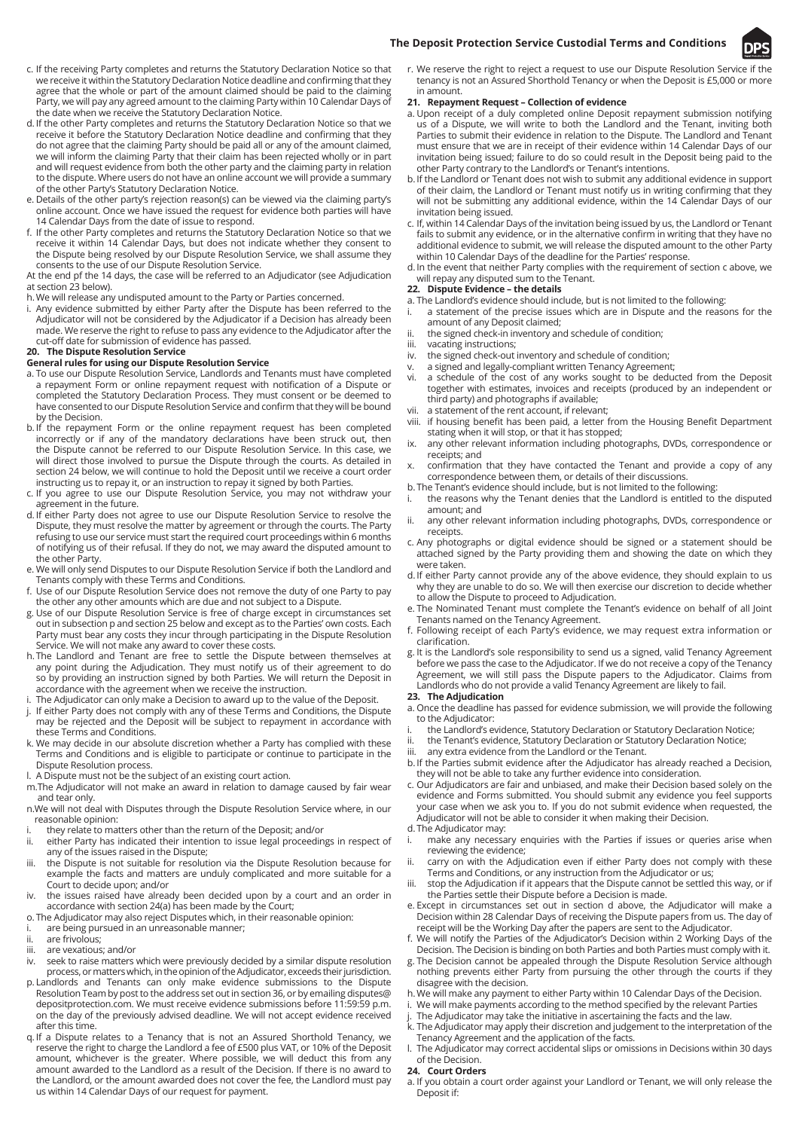**The Deposit Protection Service Custodial Terms and Conditions**



- c. If the receiving Party completes and returns the Statutory Declaration Notice so that we receive it within the Statutory Declaration Notice deadline and confirming that they agree that the whole or part of the amount claimed should be paid to the claiming Party, we will pay any agreed amount to the claiming Party within 10 Calendar Days of the date when we receive the Statutory Declaration Notice.
- d. If the other Party completes and returns the Statutory Declaration Notice so that we receive it before the Statutory Declaration Notice deadline and confirming that they do not agree that the claiming Party should be paid all or any of the amount claimed, we will inform the claiming Party that their claim has been rejected wholly or in part and will request evidence from both the other party and the claiming party in relation to the dispute. Where users do not have an online account we will provide a summary of the other Party's Statutory Declaration Notice.
- e. Details of the other party's rejection reason(s) can be viewed via the claiming party's online account. Once we have issued the request for evidence both parties will have 14 Calendar Days from the date of issue to respond.
- f. If the other Party completes and returns the Statutory Declaration Notice so that we receive it within 14 Calendar Days, but does not indicate whether they consent to the Dispute being resolved by our Dispute Resolution Service, we shall assume they consents to the use of our Dispute Resolution Service.
- At the end pf the 14 days, the case will be referred to an Adjudicator (see Adjudication at section 23 below).
- h. We will release any undisputed amount to the Party or Parties concerned.
- i. Any evidence submitted by either Party after the Dispute has been referred to the Adjudicator will not be considered by the Adjudicator if a Decision has already been made. We reserve the right to refuse to pass any evidence to the Adjudicator after the cut-off date for submission of evidence has passed.

#### **20. The Dispute Resolution Service**

#### **General rules for using our Dispute Resolution Service**

- a. To use our Dispute Resolution Service, Landlords and Tenants must have completed a repayment Form or online repayment request with notification of a Dispute or completed the Statutory Declaration Process. They must consent or be deemed to have consented to our Dispute Resolution Service and confirm that they will be bound by the Decision.
- b. If the repayment Form or the online repayment request has been completed incorrectly or if any of the mandatory declarations have been struck out, then the Dispute cannot be referred to our Dispute Resolution Service. In this case, we will direct those involved to pursue the Dispute through the courts. As detailed in section 24 below, we will continue to hold the Deposit until we receive a court order instructing us to repay it, or an instruction to repay it signed by both Parties.
- c. If you agree to use our Dispute Resolution Service, you may not withdraw your agreement in the future.
- d. If either Party does not agree to use our Dispute Resolution Service to resolve the Dispute, they must resolve the matter by agreement or through the courts. The Party refusing to use our service must start the required court proceedings within 6 months of notifying us of their refusal. If they do not, we may award the disputed amount to the other Party.
- e. We will only send Disputes to our Dispute Resolution Service if both the Landlord and Tenants comply with these Terms and Conditions.
- f. Use of our Dispute Resolution Service does not remove the duty of one Party to pay the other any other amounts which are due and not subject to a Dispute.
- g. Use of our Dispute Resolution Service is free of charge except in circumstances set out in subsection p and section 25 below and except as to the Parties' own costs. Each Party must bear any costs they incur through participating in the Dispute Resolution Service. We will not make any award to cover these costs.
- h. The Landlord and Tenant are free to settle the Dispute between themselves at any point during the Adjudication. They must notify us of their agreement to do so by providing an instruction signed by both Parties. We will return the Deposit in accordance with the agreement when we receive the instruction.
- The Adjudicator can only make a Decision to award up to the value of the Deposit.
- j. If either Party does not comply with any of these Terms and Conditions, the Dispute may be rejected and the Deposit will be subject to repayment in accordance with these Terms and Conditions.
- k. We may decide in our absolute discretion whether a Party has complied with these Terms and Conditions and is eligible to participate or continue to participate in the Dispute Resolution process.
- l. A Dispute must not be the subject of an existing court action.
- m. The Adjudicator will not make an award in relation to damage caused by fair wear and tear only.
- n. We will not deal with Disputes through the Dispute Resolution Service where, in our reasonable opinion:
- they relate to matters other than the return of the Deposit; and/or
- ii. either Party has indicated their intention to issue legal proceedings in respect of any of the issues raised in the Dispute;
- iii. the Dispute is not suitable for resolution via the Dispute Resolution because for example the facts and matters are unduly complicated and more suitable for a Court to decide upon; and/or
- iv. the issues raised have already been decided upon by a court and an order in accordance with section 24(a) has been made by the Court;
- o. The Adjudicator may also reject Disputes which, in their reasonable opinion:
- i. are being pursued in an unreasonable manner;
- ii. are frivolous:
- iii. are vexatious; and/or<br>iv. seek to raise matters
- seek to raise matters which were previously decided by a similar dispute resolution process, or matters which, in the opinion of the Adjudicator, exceeds their jurisdiction.
- p. Landlords and Tenants can only make evidence submissions to the Dispute Resolution Team by post to the address set out in section 36, or by emailing disputes@ depositprotection.com. We must receive evidence submissions before 11:59:59 p.m. on the day of the previously advised deadline. We will not accept evidence received after this time.
- q. If a Dispute relates to a Tenancy that is not an Assured Shorthold Tenancy, we reserve the right to charge the Landlord a fee of £500 plus VAT, or 10% of the Deposit amount, whichever is the greater. Where possible, we will deduct this from any amount awarded to the Landlord as a result of the Decision. If there is no award to the Landlord, or the amount awarded does not cover the fee, the Landlord must pay us within 14 Calendar Days of our request for payment.

r. We reserve the right to reject a request to use our Dispute Resolution Service if the tenancy is not an Assured Shorthold Tenancy or when the Deposit is £5,000 or more in amount.

#### **21. Repayment Request – Collection of evidence**

- a. Upon receipt of a duly completed online Deposit repayment submission notifying us of a Dispute, we will write to both the Landlord and the Tenant, inviting both Parties to submit their evidence in relation to the Dispute. The Landlord and Tenant must ensure that we are in receipt of their evidence within 14 Calendar Days of our invitation being issued; failure to do so could result in the Deposit being paid to the other Party contrary to the Landlord's or Tenant's intentions.
- b. If the Landlord or Tenant does not wish to submit any additional evidence in support of their claim, the Landlord or Tenant must notify us in writing confirming that they will not be submitting any additional evidence, within the 14 Calendar Days of our invitation being issued.
- c. If, within 14 Calendar Days of the invitation being issued by us, the Landlord or Tenant fails to submit any evidence, or in the alternative confirm in writing that they have no additional evidence to submit, we will release the disputed amount to the other Party within 10 Calendar Days of the deadline for the Parties' response.
- d. In the event that neither Party complies with the requirement of section c above, we will repay any disputed sum to the Tenant.

### **22. Dispute Evidence – the details**

- a. The Landlord's evidence should include, but is not limited to the following:
- a statement of the precise issues which are in Dispute and the reasons for the amount of any Deposit claimed; ii. the signed check-in inventory and schedule of condition;
- iii. vacating instructions;
- iv. the signed check-out inventory and schedule of condition;
- v. a signed and legally-compliant written Tenancy Agreement;
- vi. a schedule of the cost of any works sought to be deducted from the Deposit together with estimates, invoices and receipts (produced by an independent or third party) and photographs if available;
- vii. a statement of the rent account, if relevant;
- if housing benefit has been paid, a letter from the Housing Benefit Department stating when it will stop, or that it has stopped;
- ix. any other relevant information including photographs, DVDs, correspondence or receipts; and
- x. confirmation that they have contacted the Tenant and provide a copy of any correspondence between them, or details of their discussions.
- b. The Tenant's evidence should include, but is not limited to the following:
- i. the reasons why the Tenant denies that the Landlord is entitled to the disputed amount; and
- ii. any other relevant information including photographs, DVDs, correspondence or receipts.
- c. Any photographs or digital evidence should be signed or a statement should be attached signed by the Party providing them and showing the date on which they were taken.
- d. If either Party cannot provide any of the above evidence, they should explain to us why they are unable to do so. We will then exercise our discretion to decide whether to allow the Dispute to proceed to Adjudication.
- e. The Nominated Tenant must complete the Tenant's evidence on behalf of all Joint Tenants named on the Tenancy Agreement.
- f. Following receipt of each Party's evidence, we may request extra information or clarification.
- g. It is the Landlord's sole responsibility to send us a signed, valid Tenancy Agreement before we pass the case to the Adjudicator. If we do not receive a copy of the Tenancy Agreement, we will still pass the Dispute papers to the Adjudicator. Claims from Landlords who do not provide a valid Tenancy Agreement are likely to fail.

#### **23. The Adjudication**

- a. Once the deadline has passed for evidence submission, we will provide the following to the Adjudicator:
- i. the Landlord's evidence, Statutory Declaration or Statutory Declaration Notice;
- ii. the Tenant's evidence, Statutory Declaration or Statutory Declaration Notice;
- iii. any extra evidence from the Landlord or the Tenant.
- b. If the Parties submit evidence after the Adjudicator has already reached a Decision, they will not be able to take any further evidence into consideration.
- c. Our Adjudicators are fair and unbiased, and make their Decision based solely on the evidence and Forms submitted. You should submit any evidence you feel supports your case when we ask you to. If you do not submit evidence when requested, the
- Adjudicator will not be able to consider it when making their Decision. d. The Adjudicator may:
- i. make any necessary enquiries with the Parties if issues or queries arise when reviewing the evidence;
- ii. carry on with the Adjudication even if either Party does not comply with these Terms and Conditions, or any instruction from the Adjudicator or us;
- iii. stop the Adjudication if it appears that the Dispute cannot be settled this way, or if the Parties settle their Dispute before a Decision is made.
- e. Except in circumstances set out in section d above, the Adjudicator will make a Decision within 28 Calendar Days of receiving the Dispute papers from us. The day of receipt will be the Working Day after the papers are sent to the Adjudicator.
- f. We will notify the Parties of the Adjudicator's Decision within 2 Working Days of the Decision. The Decision is binding on both Parties and both Parties must comply with it.
- g. The Decision cannot be appealed through the Dispute Resolution Service although g. The Decision cannot be appealed through the Dispute Resolution Service although nothing prevents either Party from pursuing the other through the courts if they disagree with the decision.
- h. We will make any payment to either Party within 10 Calendar Days of the Decision.
- We will make payments according to the method specified by the relevant Parties
- The Adjudicator may take the initiative in ascertaining the facts and the law.
- k. The Adjudicator may apply their discretion and judgement to the interpretation of the Tenancy Agreement and the application of the facts.
- The Adjudicator may correct accidental slips or omissions in Decisions within 30 days of the Decision.

#### **24. Court Orders**

a. If you obtain a court order against your Landlord or Tenant, we will only release the Deposit if: